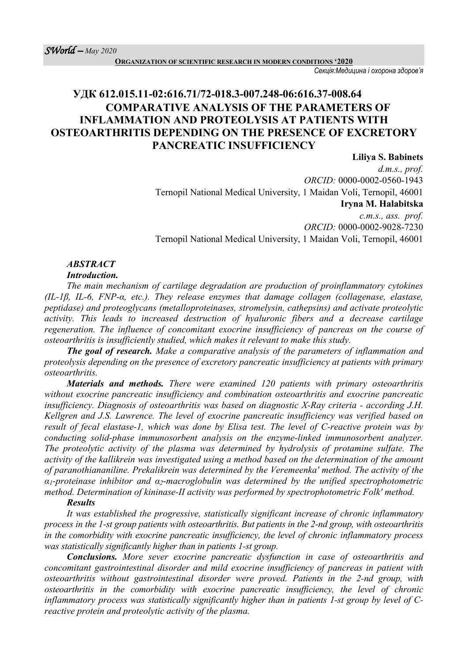**ORGANIZATION OF SCIENTIFIC RESEARCH IN MODERN CONDITIONS '2020**

*Секція:Медицина і охорона здоров'я*

## **УДК 612.015.11-02:616.71/72-018.3-007.248-06:616.37-008.64 COMPARATIVE ANALYSIS OF THE PARAMETERS OF INFLAMMATION AND PROTEOLYSIS AT PATIENTS WITH OSTEOARTHRITIS DEPENDING ON THE PRESENCE OF EXCRETORY PANCREATIC INSUFFICIENCY**

**Liliya S. Babinets** *d.m.s., prof. ORCID:* 0000-0002-0560-1943 Ternopil National Medical University, 1 Maidan Voli, Ternopil, 46001 **Iryna M. Halabitska**

*c.m.s., ass. prof. ORCID:* 0000-0002-9028-7230 Ternopil National Medical University, 1 Maidan Voli, Ternopil, 46001

# *ABSTRACT*

#### *Introduction.*

*The main mechanism of cartilage degradation are production of proinflammatory cytokines (IL-1β, IL-6, FNP-α, etc.). They release enzymes that damage collagen (collagenase, elastase, peptidase) and proteoglycans (metalloproteinases, stromelysin, cathepsins) and activate proteolytic activity. This leads to increased destruction of hyaluronic fibers and a decrease cartilage regeneration. The influence of concomitant exocrine insufficiency of pancreas on the course of osteoarthritis is insufficiently studied, which makes it relevant to make this study.*

*The goal of research. Make a comparative analysis of the parameters of inflammation and proteolysis depending on the presence of excretory pancreatic insufficiency at patients with primary osteoarthritis.*

*Materials and methods. There were examined 120 patients with primary osteoarthritis without exocrine pancreatic insufficiency and combination osteoarthritis and exocrine pancreatic insufficiency. Diagnosis of osteoarthritis was based on diagnostic X-Ray criteria - according J.H. Kellgren and J.S. Lawrence. The level of exocrine pancreatic insufficiency was verified based on result of fecal elastase-1, which was done by Elisa test. The level of C-reactive protein was by conducting solid-phase immunosorbent analysis on the enzyme-linked immunosorbent analyzer. The proteolytic activity of the plasma was determined by hydrolysis of protamine sulfate. The activity of the kallikrein was investigated using a method based on the determination of the amount of paranothiananiline. Prekalikrein was determined by the Veremeenka' method. The activity of the α1-proteinase inhibitor and α2-macroglobulin was determined by the unified spectrophotometric method. Determination of kininase-II activity was performed by spectrophotometric Folk' method.*

#### *Results*

*It was established the progressive, statistically significant increase of chronic inflammatory process in the 1-st group patients with osteoarthritis. But patients in the 2-nd group, with osteoarthritis in the comorbidity with exocrine pancreatic insufficiency, the level of chronic inflammatory process was statistically significantly higher than in patients 1-st group.*

*Conclusions. More sever exocrine pancreatic dysfunction in case of osteoarthritis and concomitant gastrointestinal disorder and mild exocrine insufficiency of pancreas in patient with osteoarthritis without gastrointestinal disorder were proved. Patients in the 2-nd group, with osteoarthritis in the comorbidity with exocrine pancreatic insufficiency, the level of chronic inflammatory process was statistically significantly higher than in patients 1-st group by level of Creactive protein and proteolytic activity of the plasma.*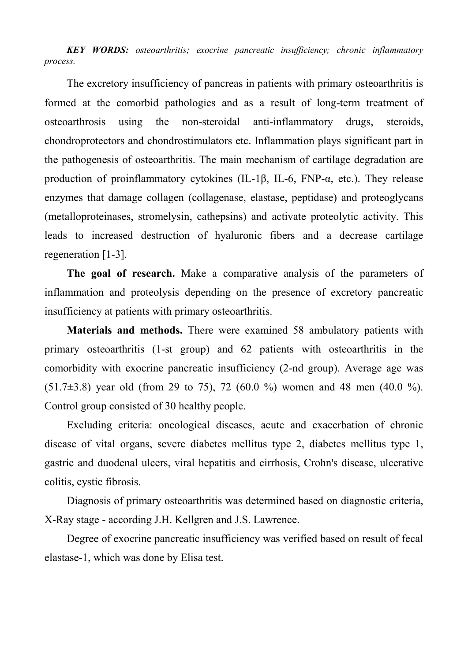*KEY WORDS: osteoarthritis; exocrine pancreatic insufficiency; chronic inflammatory process.*

The excretory insufficiency of pancreas in patients with primary osteoarthritis is formed at the comorbid pathologies and as a result of long-term treatment of osteoarthrosis using the non-steroidal anti-inflammatory drugs, steroids, chondroprotectors and chondrostimulators etc. Inflammation plays significant part in the pathogenesis of osteoarthritis. The main mechanism of cartilage degradation are production of proinflammatory cytokines (IL-1β, IL-6, FNP- $\alpha$ , etc.). They release enzymes that damage collagen (collagenase, elastase, peptidase) and proteoglycans (metalloproteinases, stromelysin, cathepsins) and activate proteolytic activity. This leads to increased destruction of hyaluronic fibers and a decrease cartilage regeneration [1-3].

**The goal of research.** Make a comparative analysis of the parameters of inflammation and proteolysis depending on the presence of excretory pancreatic insufficiency at patients with primary osteoarthritis.

**Materials and methods.** There were examined 58 ambulatory patients with primary osteoarthritis (1-st group) and 62 patients with osteoarthritis in the comorbidity with exocrine pancreatic insufficiency (2-nd group). Average age was  $(51.7\pm3.8)$  year old (from 29 to 75), 72 (60.0 %) women and 48 men (40.0 %). Control group consisted of 30 healthy people.

Excluding criteria: oncological diseases, acute and exacerbation of chronic disease of vital organs, severe diabetes mellitus type 2, diabetes mellitus type 1, gastric and duodenal ulcers, viral hepatitis and cirrhosis, Crohn's disease, ulcerative colitis, cystic fibrosis.

Diagnosis of primary osteoarthritis was determined based on diagnostic criteria, X-Ray stage - according J.H. Kellgren and J.S. Lawrence.

Degree of exocrine pancreatic insufficiency was verified based on result of fecal elastase-1, which was done by Elisa test.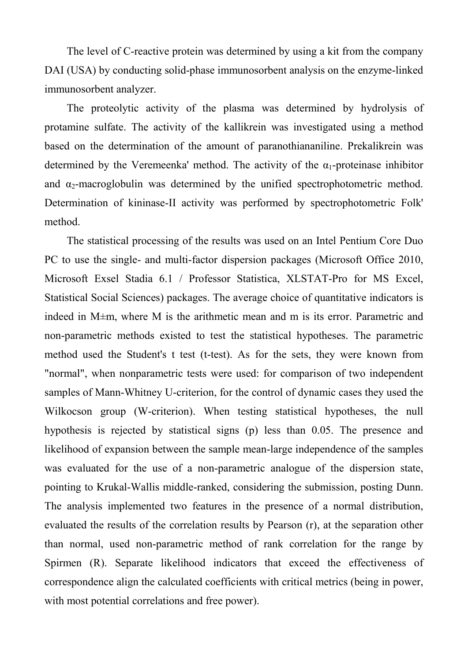The level of C-reactive protein was determined by using a kit from the company DAI (USA) by conducting solid-phase immunosorbent analysis on the enzyme-linked immunosorbent analyzer.

The proteolytic activity of the plasma was determined by hydrolysis of protamine sulfate. The activity of the kallikrein was investigated using a method based on the determination of the amount of paranothiananiline. Prekalikrein was determined by the Veremeenka' method. The activity of the  $\alpha_1$ -proteinase inhibitor and  $\alpha_2$ -macroglobulin was determined by the unified spectrophotometric method. Determination of kininase-II activity was performed by spectrophotometric Folk' method.

The statistical processing of the results was used on an Intel Pentium Core Duo PC to use the single- and multi-factor dispersion packages (Microsoft Office 2010, Microsoft Exsel Stadia 6.1 / Professor Statistica, XLSTAT-Pro for MS Excel, Statistical Social Sciences) packages. The average choice of quantitative indicators is indeed in M±m, where M is the arithmetic mean and m is its error. Parametric and non-parametric methods existed to test the statistical hypotheses. The parametric method used the Student's t test (t-test). As for the sets, they were known from "normal", when nonparametric tests were used: for comparison of two independent samples of Mann-Whitney U-criterion, for the control of dynamic cases they used the Wilkocson group (W-criterion). When testing statistical hypotheses, the null hypothesis is rejected by statistical signs (p) less than 0.05. The presence and likelihood of expansion between the sample mean-large independence of the samples was evaluated for the use of a non-parametric analogue of the dispersion state, pointing to Krukal-Wallis middle-ranked, considering the submission, posting Dunn. The analysis implemented two features in the presence of a normal distribution, evaluated the results of the correlation results by Pearson (r), at the separation other than normal, used non-parametric method of rank correlation for the range by Spirmen (R). Separate likelihood indicators that exceed the effectiveness of correspondence align the calculated coefficients with critical metrics (being in power, with most potential correlations and free power).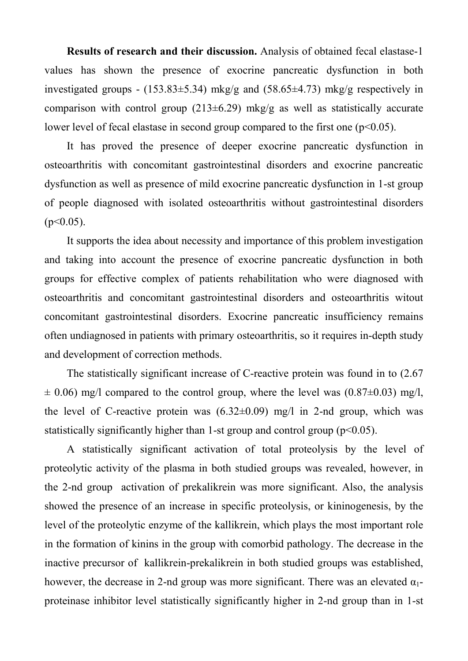**Results of research and their discussion.** Analysis of obtained fecal elastase-1 values has shown the presence of exocrine pancreatic dysfunction in both investigated groups - (153.83 $\pm$ 5.34) mkg/g and (58.65 $\pm$ 4.73) mkg/g respectively in comparison with control group  $(213\pm6.29)$  mkg/g as well as statistically accurate lower level of fecal elastase in second group compared to the first one  $(p<0.05)$ .

It has proved the presence of deeper exocrine pancreatic dysfunction in osteoarthritis with concomitant gastrointestinal disorders and exocrine pancreatic dysfunction as well as presence of mild exocrine pancreatic dysfunction in 1-st group of people diagnosed with isolated osteoarthritis without gastrointestinal disorders  $(p<0.05)$ .

It supports the idea about necessity and importance of this problem investigation and taking into account the presence of exocrine pancreatic dysfunction in both groups for effective complex of patients rehabilitation who were diagnosed with osteoarthritis and concomitant gastrointestinal disorders and osteoarthritis witout concomitant gastrointestinal disorders. Exocrine pancreatic insufficiency remains often undiagnosed in patients with primary osteoarthritis, so it requires in-depth study and development of correction methods.

The statistically significant increase of C-reactive protein was found in to (2.67  $\pm$  0.06) mg/l compared to the control group, where the level was (0.87 $\pm$ 0.03) mg/l, the level of C-reactive protein was  $(6.32 \pm 0.09)$  mg/l in 2-nd group, which was statistically significantly higher than 1-st group and control group  $(p<0.05)$ .

A statistically significant activation of total proteolysis by the level of proteolytic activity of the plasma in both studied groups was revealed, however, in the 2-nd group activation of prekalikrein was more significant. Also, the analysis showed the presence of an increase in specific proteolysis, or kininogenesis, by the level of the proteolytic enzyme of the kallikrein, which plays the most important role in the formation of kinins in the group with comorbid pathology. The decrease in the inactive precursor of kallikrein-prekalikrein in both studied groups was established, however, the decrease in 2-nd group was more significant. There was an elevated  $\alpha_1$ proteinase inhibitor level statistically significantly higher in 2-nd group than in 1-st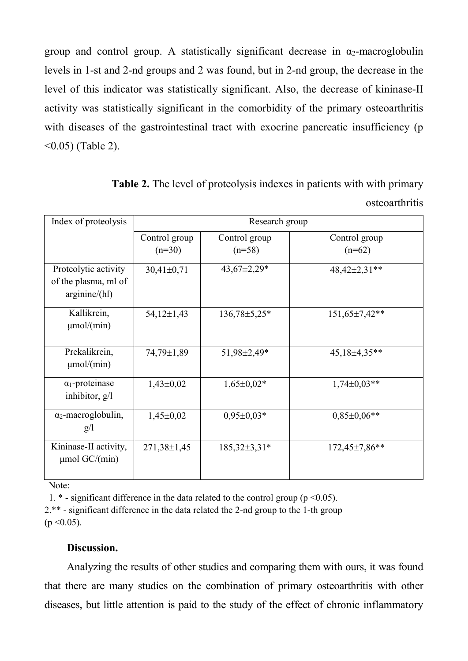group and control group. A statistically significant decrease in  $\alpha_2$ -macroglobulin levels in 1-st and 2-nd groups and 2 was found, but in 2-nd group, the decrease in the level of this indicator was statistically significant. Also, the decrease of kininase-II activity was statistically significant in the comorbidity of the primary osteoarthritis with diseases of the gastrointestinal tract with exocrine pancreatic insufficiency (p <0.05) (Table 2).

| Index of proteolysis                                         | Research group            |                           |                           |
|--------------------------------------------------------------|---------------------------|---------------------------|---------------------------|
|                                                              | Control group<br>$(n=30)$ | Control group<br>$(n=58)$ | Control group<br>$(n=62)$ |
| Proteolytic activity<br>of the plasma, ml of<br>arginine/hl) | $30,41\pm0,71$            | $43,67 \pm 2,29*$         | 48,42±2,31**              |
| Kallikrein,<br>$\mu$ mol/(min)                               | $54,12\pm1,43$            | $136,78 \pm 5,25*$        | $151,65\pm7,42**$         |
| Prekalikrein,<br>$\mu$ mol/(min)                             | 74,79±1,89                | 51,98±2,49*               | $45,18\pm4,35**$          |
| $\alpha_1$ -proteinase<br>inhibitor, $g/l$                   | $1,43\pm0,02$             | $1,65\pm0,02*$            | $1,74\pm0.03**$           |
| $\alpha_2$ -macroglobulin,<br>g/l                            | $1,45\pm0,02$             | $0,95\pm0,03*$            | $0.85 \pm 0.06**$         |
| Kininase-II activity,<br>$\mu$ mol GC/(min)                  | $271,38 \pm 1,45$         | $185,32\pm3,31*$          | $172,45\pm7,86**$         |

**Table 2.** The level of proteolysis indexes in patients with with primary osteoarthritis

Note:

1.  $*$  - significant difference in the data related to the control group ( $p \le 0.05$ ). 2.\*\* - significant difference in the data related the 2-nd group to the 1-th group  $(p < 0.05)$ .

## **Discussion.**

Analyzing the results of other studies and comparing them with ours, it was found that there are many studies on the combination of primary osteoarthritis with other diseases, but little attention is paid to the study of the effect of chronic inflammatory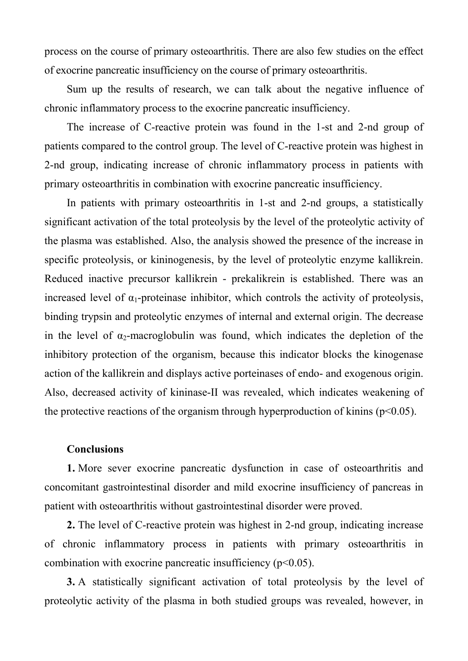process on the course of primary osteoarthritis. There are also few studies on the effect of exocrine pancreatic insufficiency on the course of primary osteoarthritis.

Sum up the results of research, we can talk about the negative influence of chronic inflammatory process to the exocrine pancreatic insufficiency.

The increase of C-reactive protein was found in the 1-st and 2-nd group of patients compared to the control group. The level of C-reactive protein was highest in 2-nd group, indicating increase of chronic inflammatory process in patients with primary osteoarthritis in combination with exocrine pancreatic insufficiency.

In patients with primary osteoarthritis in 1-st and 2-nd groups, a statistically significant activation of the total proteolysis by the level of the proteolytic activity of the plasma was established. Also, the analysis showed the presence of the increase in specific proteolysis, or kininogenesis, by the level of proteolytic enzyme kallikrein. Reduced inactive precursor kallikrein - prekalikrein is established. There was an increased level of  $\alpha_1$ -proteinase inhibitor, which controls the activity of proteolysis, binding trypsin and proteolytic enzymes of internal and external origin. The decrease in the level of  $\alpha_2$ -macroglobulin was found, which indicates the depletion of the inhibitory protection of the organism, because this indicator blocks the kinogenase action of the kallikrein and displays active porteinases of endo- and exogenous origin. Also, decreased activity of kininase-II was revealed, which indicates weakening of the protective reactions of the organism through hyperproduction of kinins ( $p<0.05$ ).

#### **Conclusions**

**1.** More sever exocrine pancreatic dysfunction in case of osteoarthritis and concomitant gastrointestinal disorder and mild exocrine insufficiency of pancreas in patient with osteoarthritis without gastrointestinal disorder were proved.

**2.** The level of C-reactive protein was highest in 2-nd group, indicating increase of chronic inflammatory process in patients with primary osteoarthritis in combination with exocrine pancreatic insufficiency  $(p<0.05)$ .

**3.** A statistically significant activation of total proteolysis by the level of proteolytic activity of the plasma in both studied groups was revealed, however, in